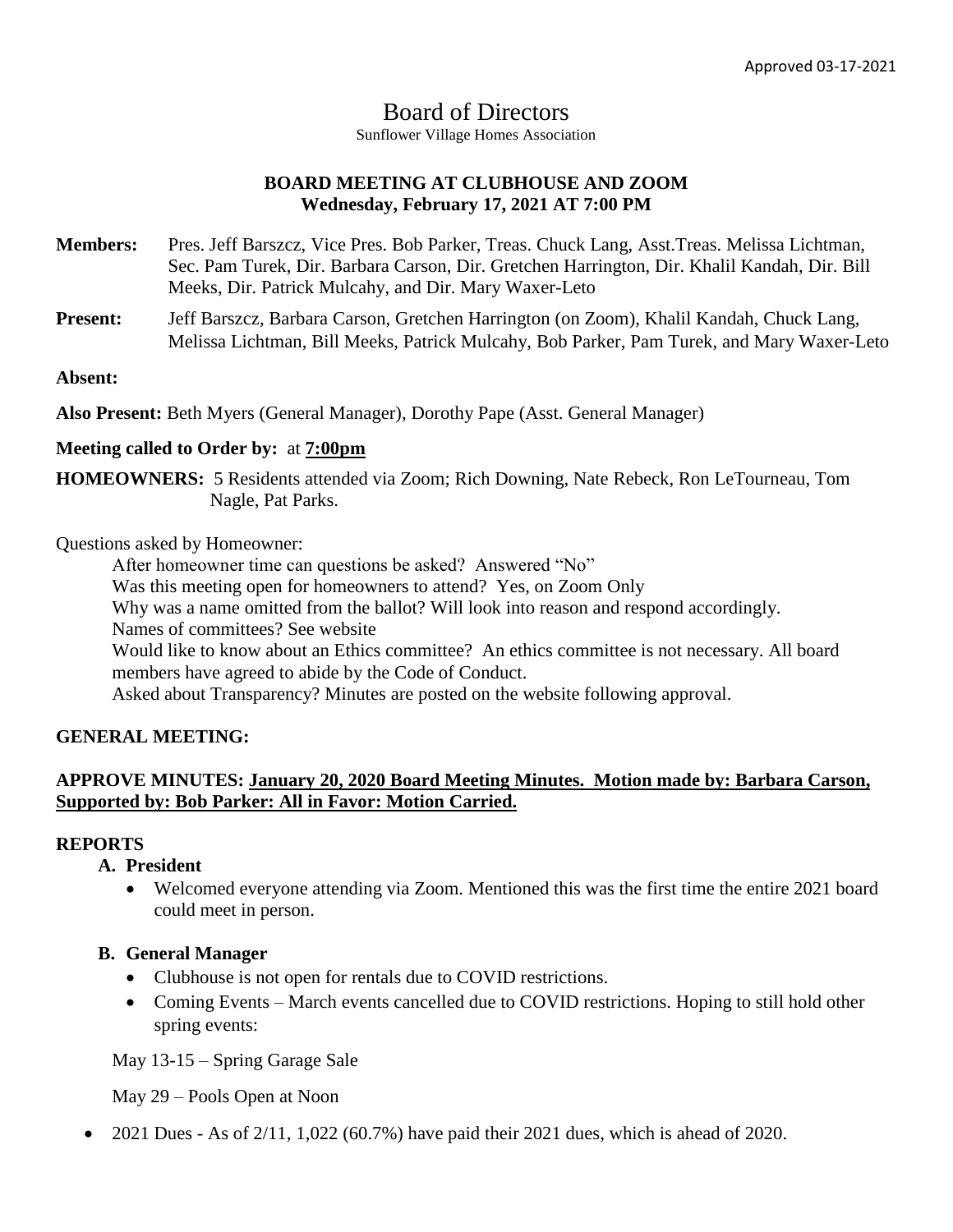# Board of Directors

Sunflower Village Homes Association

# **BOARD MEETING AT CLUBHOUSE AND ZOOM Wednesday, February 17, 2021 AT 7:00 PM**

- **Members:** Pres. Jeff Barszcz, Vice Pres. Bob Parker, Treas. Chuck Lang, Asst.Treas. Melissa Lichtman, Sec. Pam Turek, Dir. Barbara Carson, Dir. Gretchen Harrington, Dir. Khalil Kandah, Dir. Bill Meeks, Dir. Patrick Mulcahy, and Dir. Mary Waxer-Leto
- **Present:** Jeff Barszcz, Barbara Carson, Gretchen Harrington (on Zoom), Khalil Kandah, Chuck Lang, Melissa Lichtman, Bill Meeks, Patrick Mulcahy, Bob Parker, Pam Turek, and Mary Waxer-Leto

**Absent:**

**Also Present:** Beth Myers (General Manager), Dorothy Pape (Asst. General Manager)

## **Meeting called to Order by:** at **7:00pm**

**HOMEOWNERS:** 5 Residents attended via Zoom; Rich Downing, Nate Rebeck, Ron LeTourneau, Tom Nagle, Pat Parks.

Questions asked by Homeowner:

After homeowner time can questions be asked? Answered "No" Was this meeting open for homeowners to attend? Yes, on Zoom Only Why was a name omitted from the ballot? Will look into reason and respond accordingly. Names of committees? See website Would like to know about an Ethics committee? An ethics committee is not necessary. All board members have agreed to abide by the Code of Conduct. Asked about Transparency? Minutes are posted on the website following approval.

# **GENERAL MEETING:**

# **APPROVE MINUTES: January 20, 2020 Board Meeting Minutes. Motion made by: Barbara Carson, Supported by: Bob Parker: All in Favor: Motion Carried.**

## **REPORTS**

- **A. President**
	- Welcomed everyone attending via Zoom. Mentioned this was the first time the entire 2021 board could meet in person.

## **B. General Manager**

- Clubhouse is not open for rentals due to COVID restrictions.
- Coming Events March events cancelled due to COVID restrictions. Hoping to still hold other spring events:

May 13-15 – Spring Garage Sale

May 29 – Pools Open at Noon

2021 Dues - As of 2/11, 1,022 (60.7%) have paid their 2021 dues, which is ahead of 2020.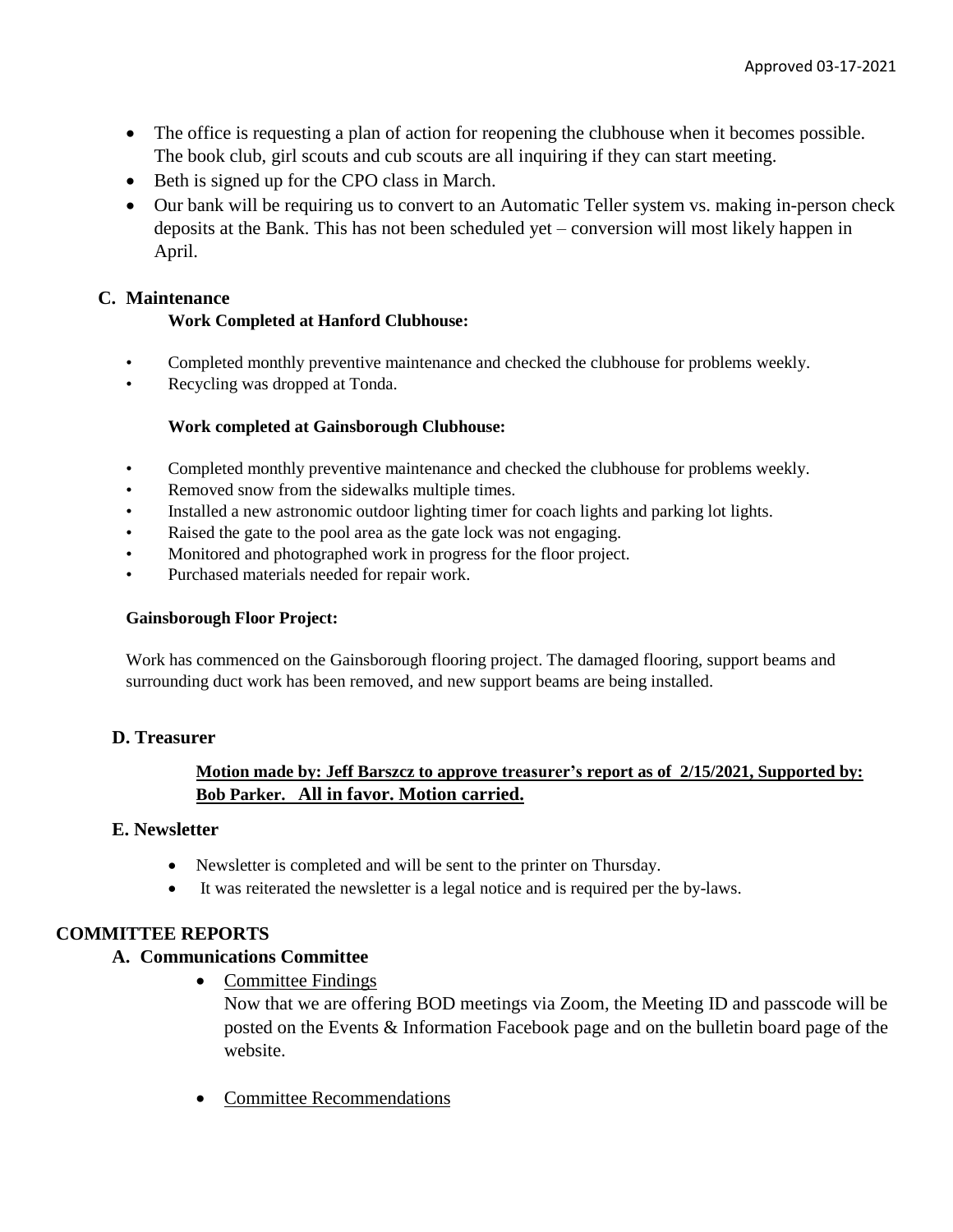- The office is requesting a plan of action for reopening the clubhouse when it becomes possible. The book club, girl scouts and cub scouts are all inquiring if they can start meeting.
- Beth is signed up for the CPO class in March.
- Our bank will be requiring us to convert to an Automatic Teller system vs. making in-person check deposits at the Bank. This has not been scheduled yet – conversion will most likely happen in April.

## **C. Maintenance**

## **Work Completed at Hanford Clubhouse:**

- Completed monthly preventive maintenance and checked the clubhouse for problems weekly.
- Recycling was dropped at Tonda.

## **Work completed at Gainsborough Clubhouse:**

- Completed monthly preventive maintenance and checked the clubhouse for problems weekly.
- Removed snow from the sidewalks multiple times.
- Installed a new astronomic outdoor lighting timer for coach lights and parking lot lights.
- Raised the gate to the pool area as the gate lock was not engaging.
- Monitored and photographed work in progress for the floor project.
- Purchased materials needed for repair work.

#### **Gainsborough Floor Project:**

Work has commenced on the Gainsborough flooring project. The damaged flooring, support beams and surrounding duct work has been removed, and new support beams are being installed.

## **D. Treasurer**

## **Motion made by: Jeff Barszcz to approve treasurer's report as of 2/15/2021, Supported by: Bob Parker. All in favor. Motion carried.**

## **E. Newsletter**

- Newsletter is completed and will be sent to the printer on Thursday.
- It was reiterated the newsletter is a legal notice and is required per the by-laws.

# **COMMITTEE REPORTS**

## **A. Communications Committee**

• Committee Findings

Now that we are offering BOD meetings via Zoom, the Meeting ID and passcode will be posted on the Events & Information Facebook page and on the bulletin board page of the website.

• Committee Recommendations